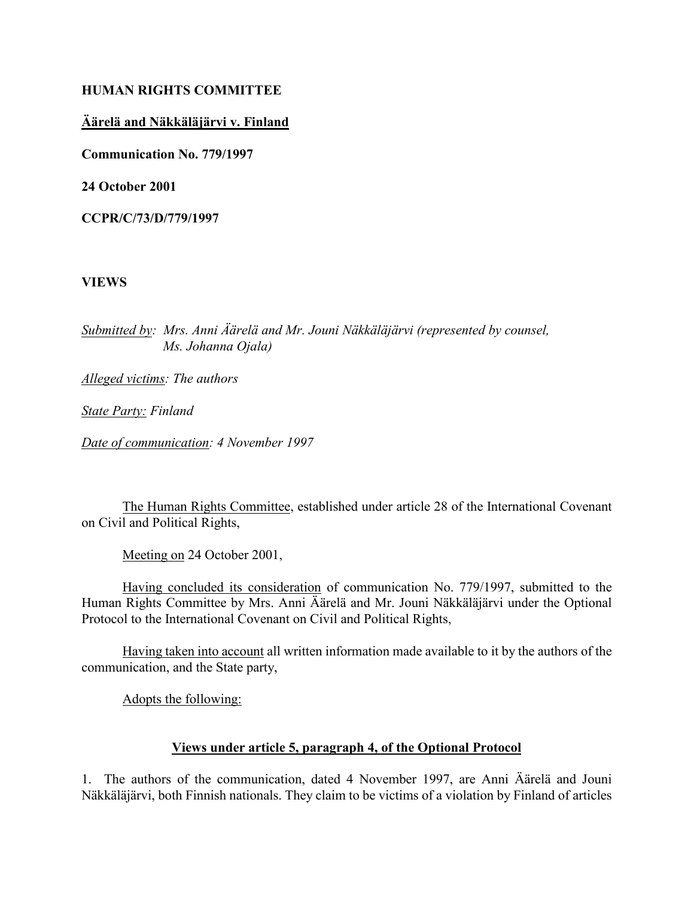### HUMAN RIGHTS COMMITTEE

### Äärelä and Näkkäläjärvi v. Finland

Communication No. 779/1997

24 October 2001

CCPR/C/73/D/779/1997

#### VIEWS

Submitted by: Mrs. Anni Äärelä and Mr. Jouni Näkkäläjärvi (represented by counsel, Ms. Johanna Ojala)

Alleged victims: The authors

State Party: Finland

Date of communication: 4 November 1997

The Human Rights Committee, established under article 28 of the International Covenant on Civil and Political Rights,

Meeting on 24 October 2001,

Having concluded its consideration of communication No. 779/1997, submitted to the Human Rights Committee by Mrs. Anni Äärelä and Mr. Jouni Näkkäläjärvi under the Optional Protocol to the International Covenant on Civil and Political Rights,

Having taken into account all written information made available to it by the authors of the communication, and the State party,

Adopts the following:

## Views under article 5, paragraph 4, of the Optional Protocol

1. The authors of the communication, dated 4 November 1997, are Anni Äärelä and Jouni Näkkäläjärvi, both Finnish nationals. They claim to be victims of a violation by Finland of articles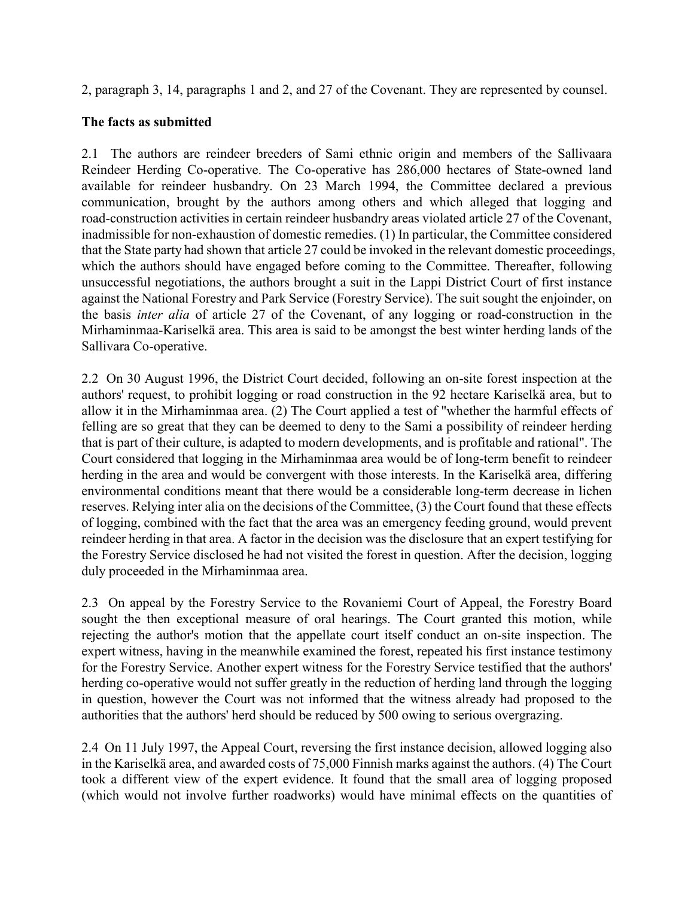2, paragraph 3, 14, paragraphs 1 and 2, and 27 of the Covenant. They are represented by counsel.

## The facts as submitted

2.1 The authors are reindeer breeders of Sami ethnic origin and members of the Sallivaara Reindeer Herding Co-operative. The Co-operative has 286,000 hectares of State-owned land available for reindeer husbandry. On 23 March 1994, the Committee declared a previous communication, brought by the authors among others and which alleged that logging and road-construction activities in certain reindeer husbandry areas violated article 27 of the Covenant, inadmissible for non-exhaustion of domestic remedies. (1) In particular, the Committee considered that the State party had shown that article 27 could be invoked in the relevant domestic proceedings, which the authors should have engaged before coming to the Committee. Thereafter, following unsuccessful negotiations, the authors brought a suit in the Lappi District Court of first instance against the National Forestry and Park Service (Forestry Service). The suit sought the enjoinder, on the basis inter alia of article 27 of the Covenant, of any logging or road-construction in the Mirhaminmaa-Kariselkä area. This area is said to be amongst the best winter herding lands of the Sallivara Co-operative.

2.2 On 30 August 1996, the District Court decided, following an on-site forest inspection at the authors' request, to prohibit logging or road construction in the 92 hectare Kariselkä area, but to allow it in the Mirhaminmaa area. (2) The Court applied a test of "whether the harmful effects of felling are so great that they can be deemed to deny to the Sami a possibility of reindeer herding that is part of their culture, is adapted to modern developments, and is profitable and rational". The Court considered that logging in the Mirhaminmaa area would be of long-term benefit to reindeer herding in the area and would be convergent with those interests. In the Kariselkä area, differing environmental conditions meant that there would be a considerable long-term decrease in lichen reserves. Relying inter alia on the decisions of the Committee, (3) the Court found that these effects of logging, combined with the fact that the area was an emergency feeding ground, would prevent reindeer herding in that area. A factor in the decision was the disclosure that an expert testifying for the Forestry Service disclosed he had not visited the forest in question. After the decision, logging duly proceeded in the Mirhaminmaa area.

2.3 On appeal by the Forestry Service to the Rovaniemi Court of Appeal, the Forestry Board sought the then exceptional measure of oral hearings. The Court granted this motion, while rejecting the author's motion that the appellate court itself conduct an on-site inspection. The expert witness, having in the meanwhile examined the forest, repeated his first instance testimony for the Forestry Service. Another expert witness for the Forestry Service testified that the authors' herding co-operative would not suffer greatly in the reduction of herding land through the logging in question, however the Court was not informed that the witness already had proposed to the authorities that the authors' herd should be reduced by 500 owing to serious overgrazing.

2.4 On 11 July 1997, the Appeal Court, reversing the first instance decision, allowed logging also in the Kariselkä area, and awarded costs of 75,000 Finnish marks against the authors. (4) The Court took a different view of the expert evidence. It found that the small area of logging proposed (which would not involve further roadworks) would have minimal effects on the quantities of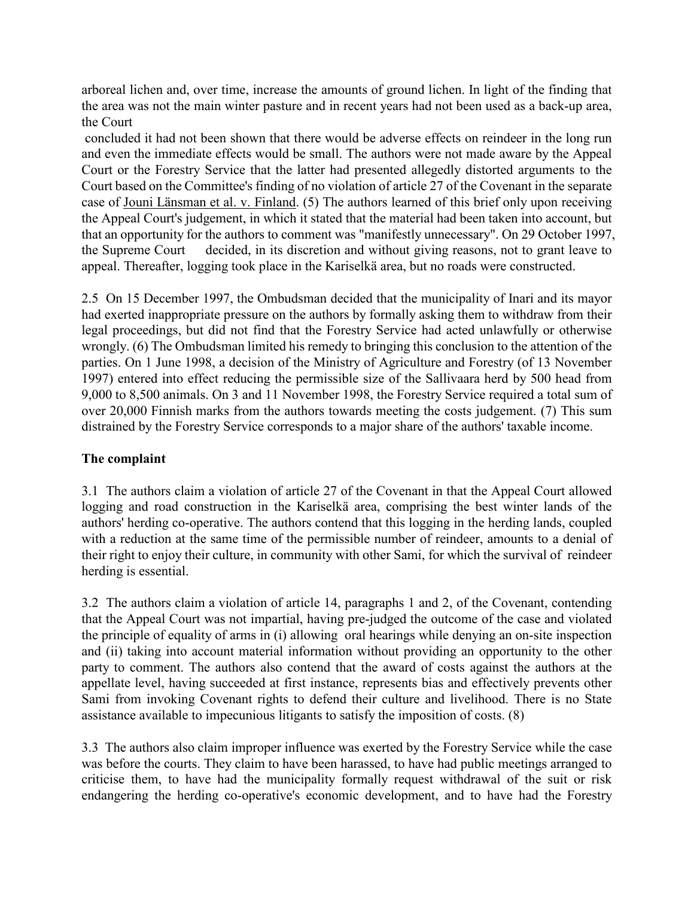arboreal lichen and, over time, increase the amounts of ground lichen. In light of the finding that the area was not the main winter pasture and in recent years had not been used as a back-up area, the Court

 concluded it had not been shown that there would be adverse effects on reindeer in the long run and even the immediate effects would be small. The authors were not made aware by the Appeal Court or the Forestry Service that the latter had presented allegedly distorted arguments to the Court based on the Committee's finding of no violation of article 27 of the Covenant in the separate case of Jouni Länsman et al. v. Finland. (5) The authors learned of this brief only upon receiving the Appeal Court's judgement, in which it stated that the material had been taken into account, but that an opportunity for the authors to comment was "manifestly unnecessary". On 29 October 1997, the Supreme Court decided, in its discretion and without giving reasons, not to grant leave to appeal. Thereafter, logging took place in the Kariselkä area, but no roads were constructed.

2.5 On 15 December 1997, the Ombudsman decided that the municipality of Inari and its mayor had exerted inappropriate pressure on the authors by formally asking them to withdraw from their legal proceedings, but did not find that the Forestry Service had acted unlawfully or otherwise wrongly. (6) The Ombudsman limited his remedy to bringing this conclusion to the attention of the parties. On 1 June 1998, a decision of the Ministry of Agriculture and Forestry (of 13 November 1997) entered into effect reducing the permissible size of the Sallivaara herd by 500 head from 9,000 to 8,500 animals. On 3 and 11 November 1998, the Forestry Service required a total sum of over 20,000 Finnish marks from the authors towards meeting the costs judgement. (7) This sum distrained by the Forestry Service corresponds to a major share of the authors' taxable income.

# The complaint

3.1 The authors claim a violation of article 27 of the Covenant in that the Appeal Court allowed logging and road construction in the Kariselkä area, comprising the best winter lands of the authors' herding co-operative. The authors contend that this logging in the herding lands, coupled with a reduction at the same time of the permissible number of reindeer, amounts to a denial of their right to enjoy their culture, in community with other Sami, for which the survival of reindeer herding is essential.

3.2 The authors claim a violation of article 14, paragraphs 1 and 2, of the Covenant, contending that the Appeal Court was not impartial, having pre-judged the outcome of the case and violated the principle of equality of arms in (i) allowing oral hearings while denying an on-site inspection and (ii) taking into account material information without providing an opportunity to the other party to comment. The authors also contend that the award of costs against the authors at the appellate level, having succeeded at first instance, represents bias and effectively prevents other Sami from invoking Covenant rights to defend their culture and livelihood. There is no State assistance available to impecunious litigants to satisfy the imposition of costs. (8)

3.3 The authors also claim improper influence was exerted by the Forestry Service while the case was before the courts. They claim to have been harassed, to have had public meetings arranged to criticise them, to have had the municipality formally request withdrawal of the suit or risk endangering the herding co-operative's economic development, and to have had the Forestry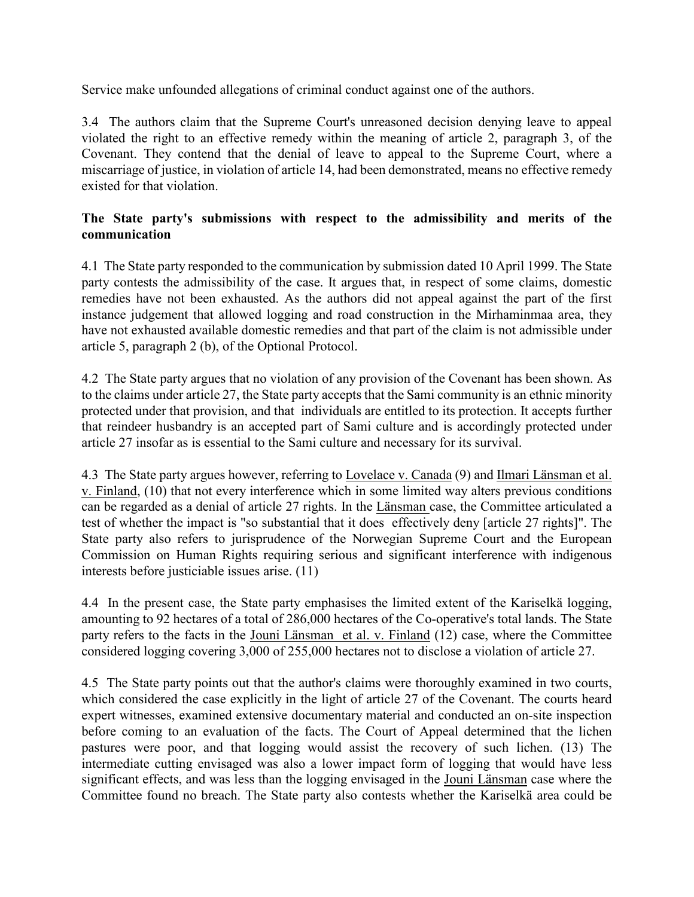Service make unfounded allegations of criminal conduct against one of the authors.

3.4 The authors claim that the Supreme Court's unreasoned decision denying leave to appeal violated the right to an effective remedy within the meaning of article 2, paragraph 3, of the Covenant. They contend that the denial of leave to appeal to the Supreme Court, where a miscarriage of justice, in violation of article 14, had been demonstrated, means no effective remedy existed for that violation.

## The State party's submissions with respect to the admissibility and merits of the communication

4.1 The State party responded to the communication by submission dated 10 April 1999. The State party contests the admissibility of the case. It argues that, in respect of some claims, domestic remedies have not been exhausted. As the authors did not appeal against the part of the first instance judgement that allowed logging and road construction in the Mirhaminmaa area, they have not exhausted available domestic remedies and that part of the claim is not admissible under article 5, paragraph 2 (b), of the Optional Protocol.

4.2 The State party argues that no violation of any provision of the Covenant has been shown. As to the claims under article 27, the State party accepts that the Sami community is an ethnic minority protected under that provision, and that individuals are entitled to its protection. It accepts further that reindeer husbandry is an accepted part of Sami culture and is accordingly protected under article 27 insofar as is essential to the Sami culture and necessary for its survival.

4.3 The State party argues however, referring to Lovelace v. Canada (9) and Ilmari Länsman et al. v. Finland, (10) that not every interference which in some limited way alters previous conditions can be regarded as a denial of article 27 rights. In the Länsman case, the Committee articulated a test of whether the impact is "so substantial that it does effectively deny [article 27 rights]". The State party also refers to jurisprudence of the Norwegian Supreme Court and the European Commission on Human Rights requiring serious and significant interference with indigenous interests before justiciable issues arise. (11)

4.4 In the present case, the State party emphasises the limited extent of the Kariselkä logging, amounting to 92 hectares of a total of 286,000 hectares of the Co-operative's total lands. The State party refers to the facts in the <u>Jouni Länsman et al. v. Finland</u> (12) case, where the Committee considered logging covering 3,000 of 255,000 hectares not to disclose a violation of article 27.

4.5 The State party points out that the author's claims were thoroughly examined in two courts, which considered the case explicitly in the light of article 27 of the Covenant. The courts heard expert witnesses, examined extensive documentary material and conducted an on-site inspection before coming to an evaluation of the facts. The Court of Appeal determined that the lichen pastures were poor, and that logging would assist the recovery of such lichen. (13) The intermediate cutting envisaged was also a lower impact form of logging that would have less significant effects, and was less than the logging envisaged in the Jouni Länsman case where the Committee found no breach. The State party also contests whether the Kariselkä area could be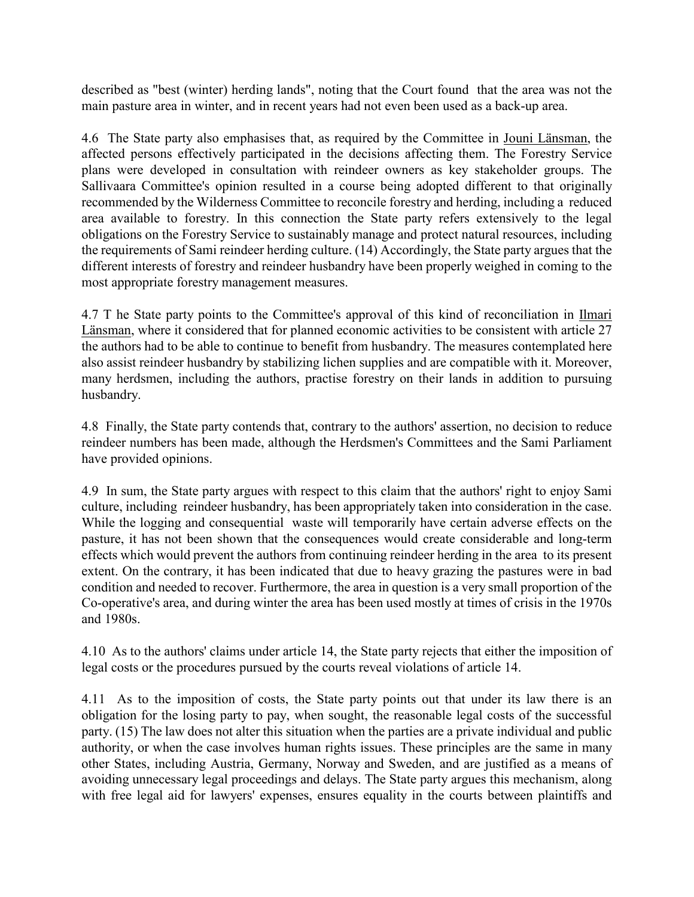described as "best (winter) herding lands", noting that the Court found that the area was not the main pasture area in winter, and in recent years had not even been used as a back-up area.

4.6 The State party also emphasises that, as required by the Committee in Jouni Länsman, the affected persons effectively participated in the decisions affecting them. The Forestry Service plans were developed in consultation with reindeer owners as key stakeholder groups. The Sallivaara Committee's opinion resulted in a course being adopted different to that originally recommended by the Wilderness Committee to reconcile forestry and herding, including a reduced area available to forestry. In this connection the State party refers extensively to the legal obligations on the Forestry Service to sustainably manage and protect natural resources, including the requirements of Sami reindeer herding culture. (14) Accordingly, the State party argues that the different interests of forestry and reindeer husbandry have been properly weighed in coming to the most appropriate forestry management measures.

4.7 T he State party points to the Committee's approval of this kind of reconciliation in Ilmari Länsman, where it considered that for planned economic activities to be consistent with article 27 the authors had to be able to continue to benefit from husbandry. The measures contemplated here also assist reindeer husbandry by stabilizing lichen supplies and are compatible with it. Moreover, many herdsmen, including the authors, practise forestry on their lands in addition to pursuing husbandry.

4.8 Finally, the State party contends that, contrary to the authors' assertion, no decision to reduce reindeer numbers has been made, although the Herdsmen's Committees and the Sami Parliament have provided opinions.

4.9 In sum, the State party argues with respect to this claim that the authors' right to enjoy Sami culture, including reindeer husbandry, has been appropriately taken into consideration in the case. While the logging and consequential waste will temporarily have certain adverse effects on the pasture, it has not been shown that the consequences would create considerable and long-term effects which would prevent the authors from continuing reindeer herding in the area to its present extent. On the contrary, it has been indicated that due to heavy grazing the pastures were in bad condition and needed to recover. Furthermore, the area in question is a very small proportion of the Co-operative's area, and during winter the area has been used mostly at times of crisis in the 1970s and 1980s.

4.10 As to the authors' claims under article 14, the State party rejects that either the imposition of legal costs or the procedures pursued by the courts reveal violations of article 14.

4.11 As to the imposition of costs, the State party points out that under its law there is an obligation for the losing party to pay, when sought, the reasonable legal costs of the successful party. (15) The law does not alter this situation when the parties are a private individual and public authority, or when the case involves human rights issues. These principles are the same in many other States, including Austria, Germany, Norway and Sweden, and are justified as a means of avoiding unnecessary legal proceedings and delays. The State party argues this mechanism, along with free legal aid for lawyers' expenses, ensures equality in the courts between plaintiffs and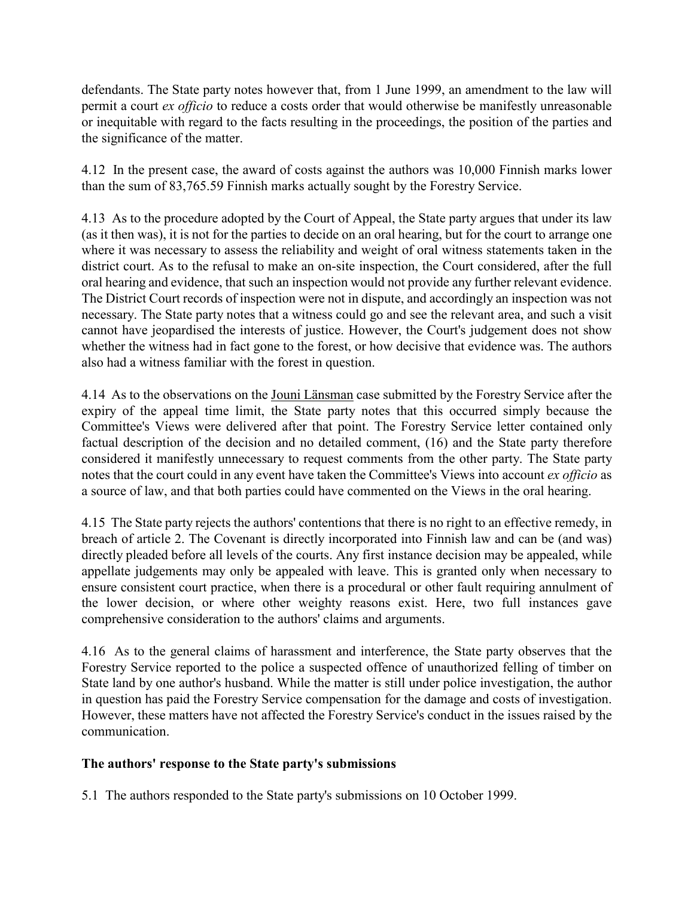defendants. The State party notes however that, from 1 June 1999, an amendment to the law will permit a court ex officio to reduce a costs order that would otherwise be manifestly unreasonable or inequitable with regard to the facts resulting in the proceedings, the position of the parties and the significance of the matter.

4.12 In the present case, the award of costs against the authors was 10,000 Finnish marks lower than the sum of 83,765.59 Finnish marks actually sought by the Forestry Service.

4.13 As to the procedure adopted by the Court of Appeal, the State party argues that under its law (as it then was), it is not for the parties to decide on an oral hearing, but for the court to arrange one where it was necessary to assess the reliability and weight of oral witness statements taken in the district court. As to the refusal to make an on-site inspection, the Court considered, after the full oral hearing and evidence, that such an inspection would not provide any further relevant evidence. The District Court records of inspection were not in dispute, and accordingly an inspection was not necessary. The State party notes that a witness could go and see the relevant area, and such a visit cannot have jeopardised the interests of justice. However, the Court's judgement does not show whether the witness had in fact gone to the forest, or how decisive that evidence was. The authors also had a witness familiar with the forest in question.

4.14 As to the observations on the Jouni Länsman case submitted by the Forestry Service after the expiry of the appeal time limit, the State party notes that this occurred simply because the Committee's Views were delivered after that point. The Forestry Service letter contained only factual description of the decision and no detailed comment, (16) and the State party therefore considered it manifestly unnecessary to request comments from the other party. The State party notes that the court could in any event have taken the Committee's Views into account ex officio as a source of law, and that both parties could have commented on the Views in the oral hearing.

4.15 The State party rejects the authors' contentions that there is no right to an effective remedy, in breach of article 2. The Covenant is directly incorporated into Finnish law and can be (and was) directly pleaded before all levels of the courts. Any first instance decision may be appealed, while appellate judgements may only be appealed with leave. This is granted only when necessary to ensure consistent court practice, when there is a procedural or other fault requiring annulment of the lower decision, or where other weighty reasons exist. Here, two full instances gave comprehensive consideration to the authors' claims and arguments.

4.16 As to the general claims of harassment and interference, the State party observes that the Forestry Service reported to the police a suspected offence of unauthorized felling of timber on State land by one author's husband. While the matter is still under police investigation, the author in question has paid the Forestry Service compensation for the damage and costs of investigation. However, these matters have not affected the Forestry Service's conduct in the issues raised by the communication.

# The authors' response to the State party's submissions

5.1 The authors responded to the State party's submissions on 10 October 1999.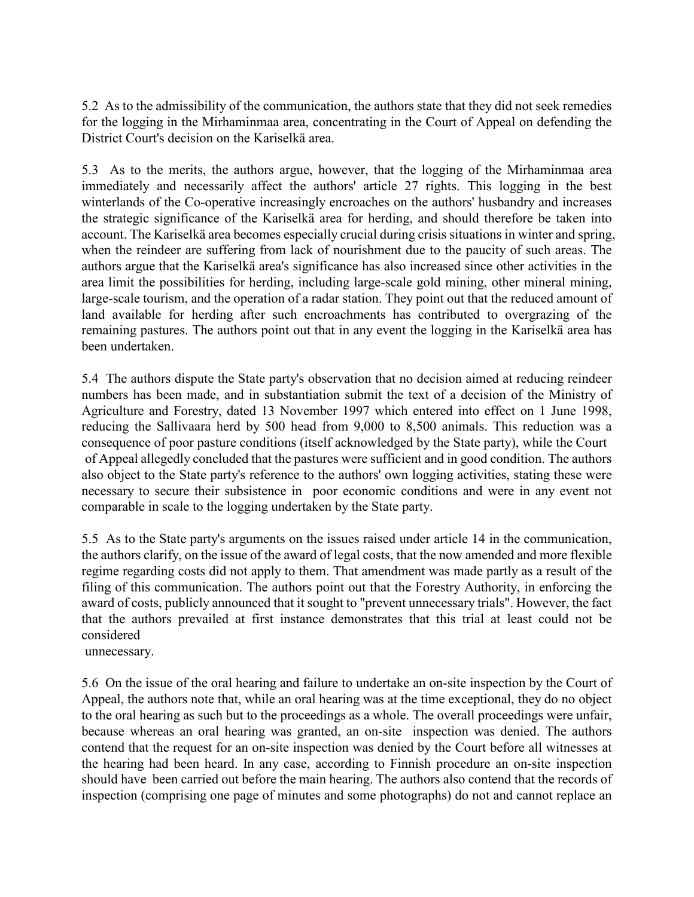5.2 As to the admissibility of the communication, the authors state that they did not seek remedies for the logging in the Mirhaminmaa area, concentrating in the Court of Appeal on defending the District Court's decision on the Kariselkä area.

5.3 As to the merits, the authors argue, however, that the logging of the Mirhaminmaa area immediately and necessarily affect the authors' article 27 rights. This logging in the best winterlands of the Co-operative increasingly encroaches on the authors' husbandry and increases the strategic significance of the Kariselkä area for herding, and should therefore be taken into account. The Kariselkä area becomes especially crucial during crisis situations in winter and spring, when the reindeer are suffering from lack of nourishment due to the paucity of such areas. The authors argue that the Kariselkä area's significance has also increased since other activities in the area limit the possibilities for herding, including large-scale gold mining, other mineral mining, large-scale tourism, and the operation of a radar station. They point out that the reduced amount of land available for herding after such encroachments has contributed to overgrazing of the remaining pastures. The authors point out that in any event the logging in the Kariselkä area has been undertaken.

5.4 The authors dispute the State party's observation that no decision aimed at reducing reindeer numbers has been made, and in substantiation submit the text of a decision of the Ministry of Agriculture and Forestry, dated 13 November 1997 which entered into effect on 1 June 1998, reducing the Sallivaara herd by 500 head from 9,000 to 8,500 animals. This reduction was a consequence of poor pasture conditions (itself acknowledged by the State party), while the Court of Appeal allegedly concluded that the pastures were sufficient and in good condition. The authors also object to the State party's reference to the authors' own logging activities, stating these were necessary to secure their subsistence in poor economic conditions and were in any event not comparable in scale to the logging undertaken by the State party.

5.5 As to the State party's arguments on the issues raised under article 14 in the communication, the authors clarify, on the issue of the award of legal costs, that the now amended and more flexible regime regarding costs did not apply to them. That amendment was made partly as a result of the filing of this communication. The authors point out that the Forestry Authority, in enforcing the award of costs, publicly announced that it sought to "prevent unnecessary trials". However, the fact that the authors prevailed at first instance demonstrates that this trial at least could not be considered

unnecessary.

5.6 On the issue of the oral hearing and failure to undertake an on-site inspection by the Court of Appeal, the authors note that, while an oral hearing was at the time exceptional, they do no object to the oral hearing as such but to the proceedings as a whole. The overall proceedings were unfair, because whereas an oral hearing was granted, an on-site inspection was denied. The authors contend that the request for an on-site inspection was denied by the Court before all witnesses at the hearing had been heard. In any case, according to Finnish procedure an on-site inspection should have been carried out before the main hearing. The authors also contend that the records of inspection (comprising one page of minutes and some photographs) do not and cannot replace an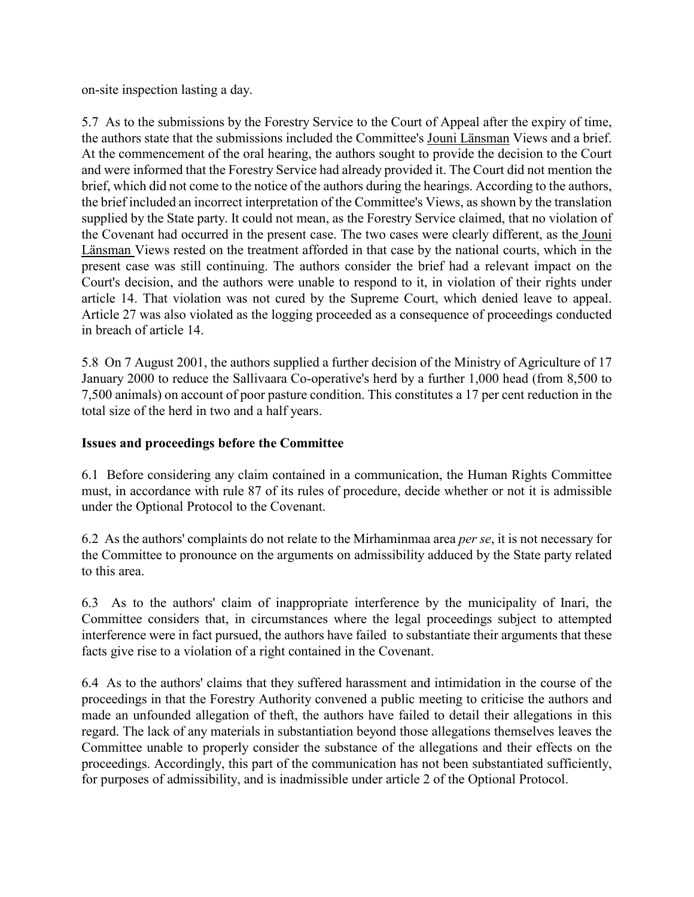on-site inspection lasting a day.

5.7 As to the submissions by the Forestry Service to the Court of Appeal after the expiry of time, the authors state that the submissions included the Committee's Jouni Länsman Views and a brief. At the commencement of the oral hearing, the authors sought to provide the decision to the Court and were informed that the Forestry Service had already provided it. The Court did not mention the brief, which did not come to the notice of the authors during the hearings. According to the authors, the brief included an incorrect interpretation of the Committee's Views, as shown by the translation supplied by the State party. It could not mean, as the Forestry Service claimed, that no violation of the Covenant had occurred in the present case. The two cases were clearly different, as the Jouni Länsman Views rested on the treatment afforded in that case by the national courts, which in the present case was still continuing. The authors consider the brief had a relevant impact on the Court's decision, and the authors were unable to respond to it, in violation of their rights under article 14. That violation was not cured by the Supreme Court, which denied leave to appeal. Article 27 was also violated as the logging proceeded as a consequence of proceedings conducted in breach of article 14.

5.8 On 7 August 2001, the authors supplied a further decision of the Ministry of Agriculture of 17 January 2000 to reduce the Sallivaara Co-operative's herd by a further 1,000 head (from 8,500 to 7,500 animals) on account of poor pasture condition. This constitutes a 17 per cent reduction in the total size of the herd in two and a half years.

## Issues and proceedings before the Committee

6.1 Before considering any claim contained in a communication, the Human Rights Committee must, in accordance with rule 87 of its rules of procedure, decide whether or not it is admissible under the Optional Protocol to the Covenant.

6.2 As the authors' complaints do not relate to the Mirhaminmaa area per se, it is not necessary for the Committee to pronounce on the arguments on admissibility adduced by the State party related to this area.

6.3 As to the authors' claim of inappropriate interference by the municipality of Inari, the Committee considers that, in circumstances where the legal proceedings subject to attempted interference were in fact pursued, the authors have failed to substantiate their arguments that these facts give rise to a violation of a right contained in the Covenant.

6.4 As to the authors' claims that they suffered harassment and intimidation in the course of the proceedings in that the Forestry Authority convened a public meeting to criticise the authors and made an unfounded allegation of theft, the authors have failed to detail their allegations in this regard. The lack of any materials in substantiation beyond those allegations themselves leaves the Committee unable to properly consider the substance of the allegations and their effects on the proceedings. Accordingly, this part of the communication has not been substantiated sufficiently, for purposes of admissibility, and is inadmissible under article 2 of the Optional Protocol.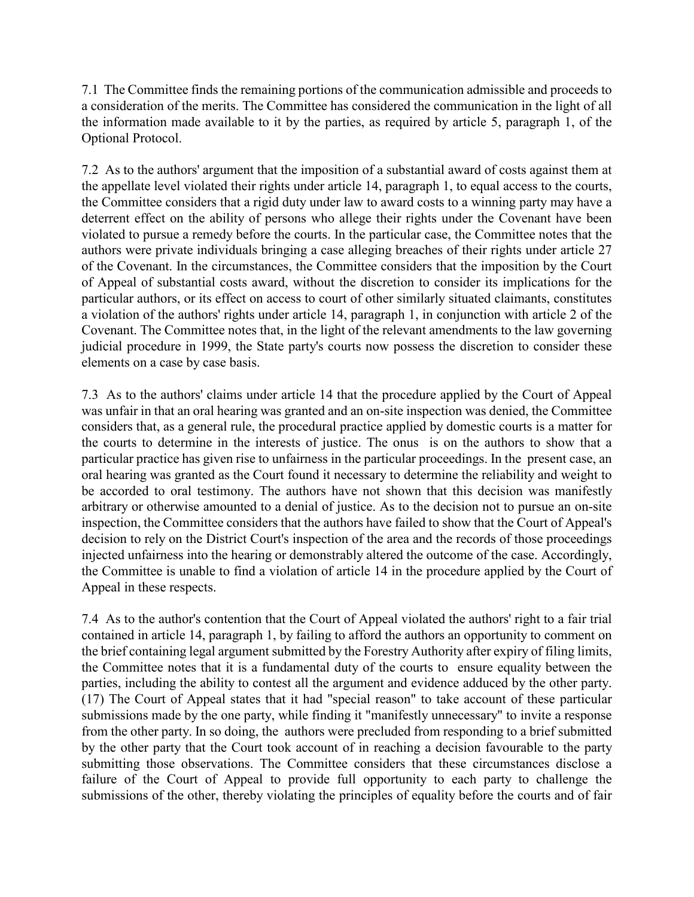7.1 The Committee finds the remaining portions of the communication admissible and proceeds to a consideration of the merits. The Committee has considered the communication in the light of all the information made available to it by the parties, as required by article 5, paragraph 1, of the Optional Protocol.

7.2 As to the authors' argument that the imposition of a substantial award of costs against them at the appellate level violated their rights under article 14, paragraph 1, to equal access to the courts, the Committee considers that a rigid duty under law to award costs to a winning party may have a deterrent effect on the ability of persons who allege their rights under the Covenant have been violated to pursue a remedy before the courts. In the particular case, the Committee notes that the authors were private individuals bringing a case alleging breaches of their rights under article 27 of the Covenant. In the circumstances, the Committee considers that the imposition by the Court of Appeal of substantial costs award, without the discretion to consider its implications for the particular authors, or its effect on access to court of other similarly situated claimants, constitutes a violation of the authors' rights under article 14, paragraph 1, in conjunction with article 2 of the Covenant. The Committee notes that, in the light of the relevant amendments to the law governing judicial procedure in 1999, the State party's courts now possess the discretion to consider these elements on a case by case basis.

7.3 As to the authors' claims under article 14 that the procedure applied by the Court of Appeal was unfair in that an oral hearing was granted and an on-site inspection was denied, the Committee considers that, as a general rule, the procedural practice applied by domestic courts is a matter for the courts to determine in the interests of justice. The onus is on the authors to show that a particular practice has given rise to unfairness in the particular proceedings. In the present case, an oral hearing was granted as the Court found it necessary to determine the reliability and weight to be accorded to oral testimony. The authors have not shown that this decision was manifestly arbitrary or otherwise amounted to a denial of justice. As to the decision not to pursue an on-site inspection, the Committee considers that the authors have failed to show that the Court of Appeal's decision to rely on the District Court's inspection of the area and the records of those proceedings injected unfairness into the hearing or demonstrably altered the outcome of the case. Accordingly, the Committee is unable to find a violation of article 14 in the procedure applied by the Court of Appeal in these respects.

7.4 As to the author's contention that the Court of Appeal violated the authors' right to a fair trial contained in article 14, paragraph 1, by failing to afford the authors an opportunity to comment on the brief containing legal argument submitted by the Forestry Authority after expiry of filing limits, the Committee notes that it is a fundamental duty of the courts to ensure equality between the parties, including the ability to contest all the argument and evidence adduced by the other party. (17) The Court of Appeal states that it had "special reason" to take account of these particular submissions made by the one party, while finding it "manifestly unnecessary" to invite a response from the other party. In so doing, the authors were precluded from responding to a brief submitted by the other party that the Court took account of in reaching a decision favourable to the party submitting those observations. The Committee considers that these circumstances disclose a failure of the Court of Appeal to provide full opportunity to each party to challenge the submissions of the other, thereby violating the principles of equality before the courts and of fair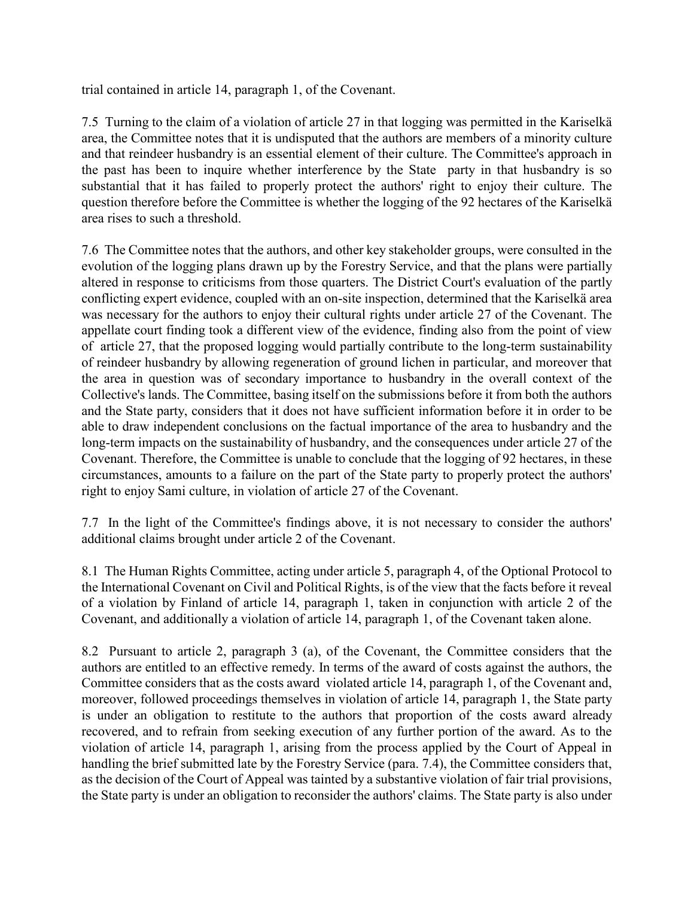trial contained in article 14, paragraph 1, of the Covenant.

7.5 Turning to the claim of a violation of article 27 in that logging was permitted in the Kariselkä area, the Committee notes that it is undisputed that the authors are members of a minority culture and that reindeer husbandry is an essential element of their culture. The Committee's approach in the past has been to inquire whether interference by the State party in that husbandry is so substantial that it has failed to properly protect the authors' right to enjoy their culture. The question therefore before the Committee is whether the logging of the 92 hectares of the Kariselkä area rises to such a threshold.

7.6 The Committee notes that the authors, and other key stakeholder groups, were consulted in the evolution of the logging plans drawn up by the Forestry Service, and that the plans were partially altered in response to criticisms from those quarters. The District Court's evaluation of the partly conflicting expert evidence, coupled with an on-site inspection, determined that the Kariselkä area was necessary for the authors to enjoy their cultural rights under article 27 of the Covenant. The appellate court finding took a different view of the evidence, finding also from the point of view of article 27, that the proposed logging would partially contribute to the long-term sustainability of reindeer husbandry by allowing regeneration of ground lichen in particular, and moreover that the area in question was of secondary importance to husbandry in the overall context of the Collective's lands. The Committee, basing itself on the submissions before it from both the authors and the State party, considers that it does not have sufficient information before it in order to be able to draw independent conclusions on the factual importance of the area to husbandry and the long-term impacts on the sustainability of husbandry, and the consequences under article 27 of the Covenant. Therefore, the Committee is unable to conclude that the logging of 92 hectares, in these circumstances, amounts to a failure on the part of the State party to properly protect the authors' right to enjoy Sami culture, in violation of article 27 of the Covenant.

7.7 In the light of the Committee's findings above, it is not necessary to consider the authors' additional claims brought under article 2 of the Covenant.

8.1 The Human Rights Committee, acting under article 5, paragraph 4, of the Optional Protocol to the International Covenant on Civil and Political Rights, is of the view that the facts before it reveal of a violation by Finland of article 14, paragraph 1, taken in conjunction with article 2 of the Covenant, and additionally a violation of article 14, paragraph 1, of the Covenant taken alone.

8.2 Pursuant to article 2, paragraph 3 (a), of the Covenant, the Committee considers that the authors are entitled to an effective remedy. In terms of the award of costs against the authors, the Committee considers that as the costs award violated article 14, paragraph 1, of the Covenant and, moreover, followed proceedings themselves in violation of article 14, paragraph 1, the State party is under an obligation to restitute to the authors that proportion of the costs award already recovered, and to refrain from seeking execution of any further portion of the award. As to the violation of article 14, paragraph 1, arising from the process applied by the Court of Appeal in handling the brief submitted late by the Forestry Service (para. 7.4), the Committee considers that, as the decision of the Court of Appeal was tainted by a substantive violation of fair trial provisions, the State party is under an obligation to reconsider the authors' claims. The State party is also under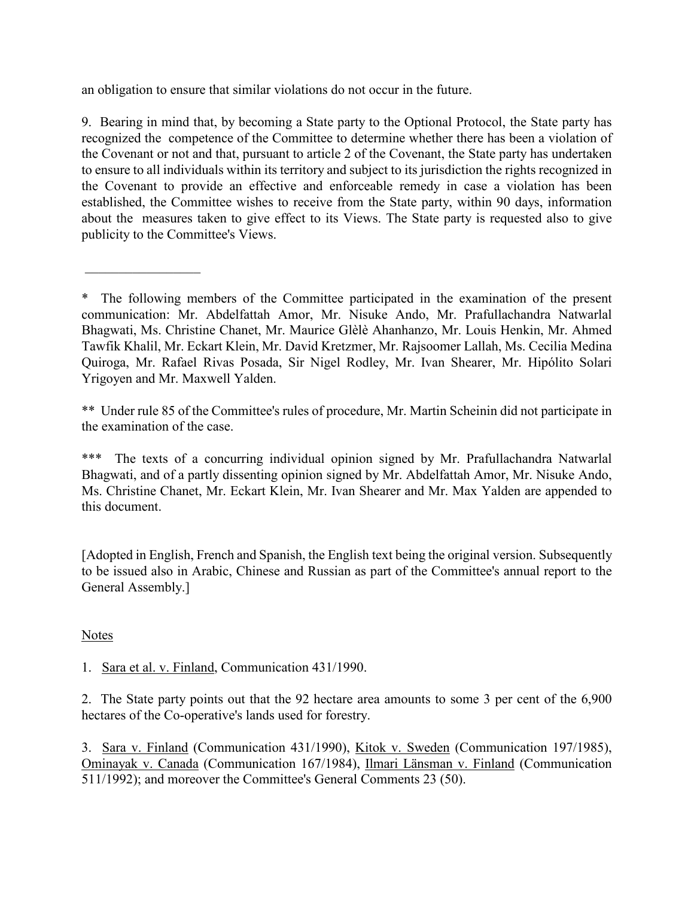an obligation to ensure that similar violations do not occur in the future.

9. Bearing in mind that, by becoming a State party to the Optional Protocol, the State party has recognized the competence of the Committee to determine whether there has been a violation of the Covenant or not and that, pursuant to article 2 of the Covenant, the State party has undertaken to ensure to all individuals within its territory and subject to its jurisdiction the rights recognized in the Covenant to provide an effective and enforceable remedy in case a violation has been established, the Committee wishes to receive from the State party, within 90 days, information about the measures taken to give effect to its Views. The State party is requested also to give publicity to the Committee's Views.

\*\* Under rule 85 of the Committee's rules of procedure, Mr. Martin Scheinin did not participate in the examination of the case.

\*\*\* The texts of a concurring individual opinion signed by Mr. Prafullachandra Natwarlal Bhagwati, and of a partly dissenting opinion signed by Mr. Abdelfattah Amor, Mr. Nisuke Ando, Ms. Christine Chanet, Mr. Eckart Klein, Mr. Ivan Shearer and Mr. Max Yalden are appended to this document.

[Adopted in English, French and Spanish, the English text being the original version. Subsequently to be issued also in Arabic, Chinese and Russian as part of the Committee's annual report to the General Assembly.]

## **Notes**

 $\overline{\phantom{a}}$  , where  $\overline{\phantom{a}}$ 

3. Sara v. Finland (Communication 431/1990), Kitok v. Sweden (Communication 197/1985), Ominayak v. Canada (Communication 167/1984), Ilmari Länsman v. Finland (Communication 511/1992); and moreover the Committee's General Comments 23 (50).

<sup>\*</sup> The following members of the Committee participated in the examination of the present communication: Mr. Abdelfattah Amor, Mr. Nisuke Ando, Mr. Prafullachandra Natwarlal Bhagwati, Ms. Christine Chanet, Mr. Maurice Glèlè Ahanhanzo, Mr. Louis Henkin, Mr. Ahmed Tawfik Khalil, Mr. Eckart Klein, Mr. David Kretzmer, Mr. Rajsoomer Lallah, Ms. Cecilia Medina Quiroga, Mr. Rafael Rivas Posada, Sir Nigel Rodley, Mr. Ivan Shearer, Mr. Hipólito Solari Yrigoyen and Mr. Maxwell Yalden.

<sup>1.</sup> Sara et al. v. Finland, Communication 431/1990.

<sup>2.</sup> The State party points out that the 92 hectare area amounts to some 3 per cent of the 6,900 hectares of the Co-operative's lands used for forestry.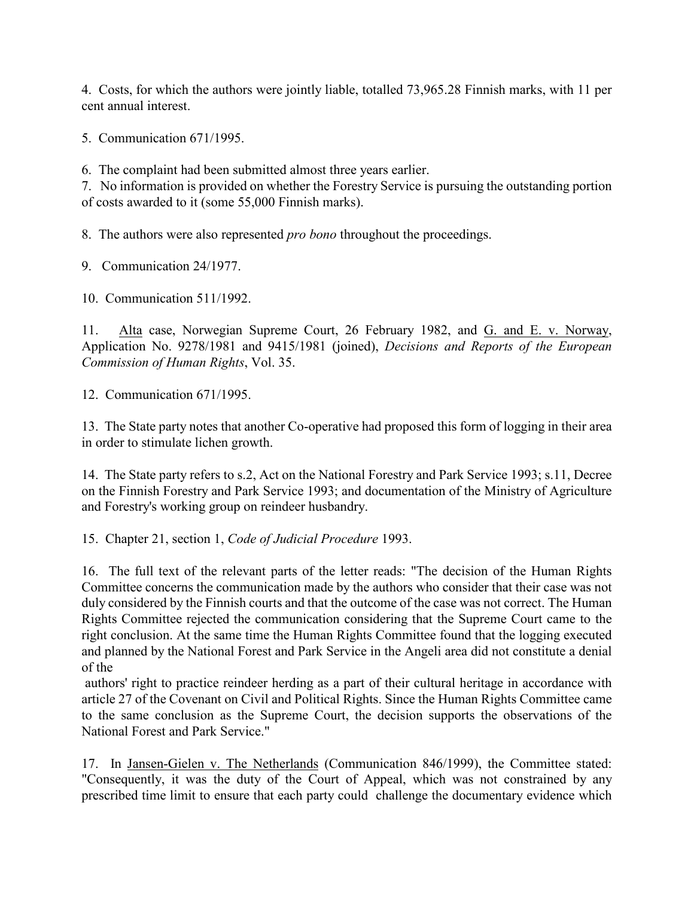4. Costs, for which the authors were jointly liable, totalled 73,965.28 Finnish marks, with 11 per cent annual interest.

5. Communication 671/1995.

6. The complaint had been submitted almost three years earlier.

7. No information is provided on whether the Forestry Service is pursuing the outstanding portion of costs awarded to it (some 55,000 Finnish marks).

8. The authors were also represented pro bono throughout the proceedings.

9. Communication 24/1977.

10. Communication 511/1992.

11. Alta case, Norwegian Supreme Court, 26 February 1982, and G. and E. v. Norway, Application No. 9278/1981 and 9415/1981 (joined), Decisions and Reports of the European Commission of Human Rights, Vol. 35.

12. Communication 671/1995.

13. The State party notes that another Co-operative had proposed this form of logging in their area in order to stimulate lichen growth.

14. The State party refers to s.2, Act on the National Forestry and Park Service 1993; s.11, Decree on the Finnish Forestry and Park Service 1993; and documentation of the Ministry of Agriculture and Forestry's working group on reindeer husbandry.

15. Chapter 21, section 1, Code of Judicial Procedure 1993.

16. The full text of the relevant parts of the letter reads: "The decision of the Human Rights Committee concerns the communication made by the authors who consider that their case was not duly considered by the Finnish courts and that the outcome of the case was not correct. The Human Rights Committee rejected the communication considering that the Supreme Court came to the right conclusion. At the same time the Human Rights Committee found that the logging executed and planned by the National Forest and Park Service in the Angeli area did not constitute a denial of the

 authors' right to practice reindeer herding as a part of their cultural heritage in accordance with article 27 of the Covenant on Civil and Political Rights. Since the Human Rights Committee came to the same conclusion as the Supreme Court, the decision supports the observations of the National Forest and Park Service."

17. In Jansen-Gielen v. The Netherlands (Communication 846/1999), the Committee stated: "Consequently, it was the duty of the Court of Appeal, which was not constrained by any prescribed time limit to ensure that each party could challenge the documentary evidence which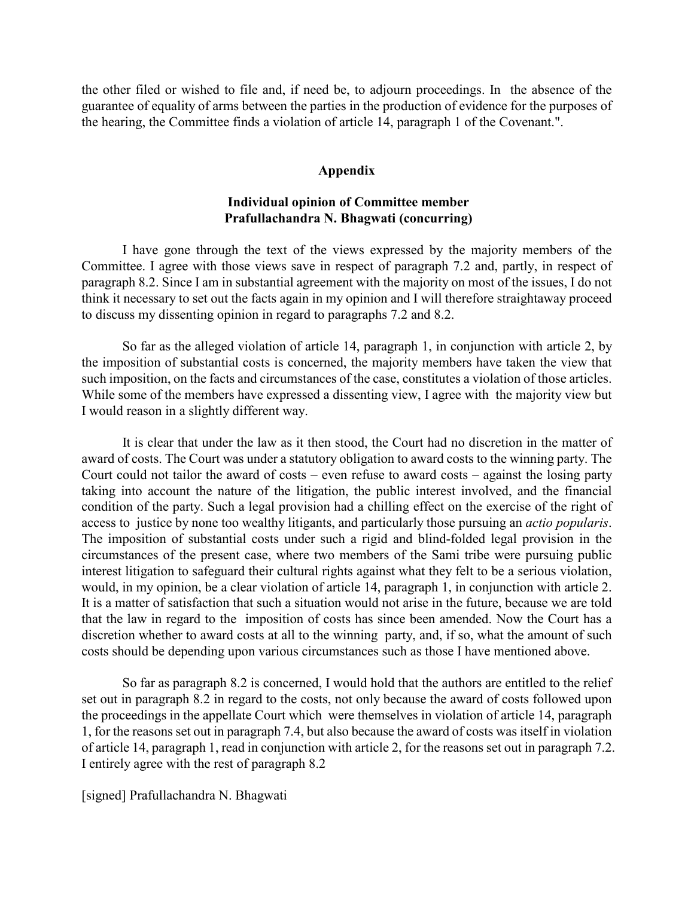the other filed or wished to file and, if need be, to adjourn proceedings. In the absence of the guarantee of equality of arms between the parties in the production of evidence for the purposes of the hearing, the Committee finds a violation of article 14, paragraph 1 of the Covenant.".

#### Appendix

#### Individual opinion of Committee member Prafullachandra N. Bhagwati (concurring)

I have gone through the text of the views expressed by the majority members of the Committee. I agree with those views save in respect of paragraph 7.2 and, partly, in respect of paragraph 8.2. Since I am in substantial agreement with the majority on most of the issues, I do not think it necessary to set out the facts again in my opinion and I will therefore straightaway proceed to discuss my dissenting opinion in regard to paragraphs 7.2 and 8.2.

So far as the alleged violation of article 14, paragraph 1, in conjunction with article 2, by the imposition of substantial costs is concerned, the majority members have taken the view that such imposition, on the facts and circumstances of the case, constitutes a violation of those articles. While some of the members have expressed a dissenting view, I agree with the majority view but I would reason in a slightly different way.

It is clear that under the law as it then stood, the Court had no discretion in the matter of award of costs. The Court was under a statutory obligation to award costs to the winning party. The Court could not tailor the award of costs – even refuse to award costs – against the losing party taking into account the nature of the litigation, the public interest involved, and the financial condition of the party. Such a legal provision had a chilling effect on the exercise of the right of access to justice by none too wealthy litigants, and particularly those pursuing an actio popularis. The imposition of substantial costs under such a rigid and blind-folded legal provision in the circumstances of the present case, where two members of the Sami tribe were pursuing public interest litigation to safeguard their cultural rights against what they felt to be a serious violation, would, in my opinion, be a clear violation of article 14, paragraph 1, in conjunction with article 2. It is a matter of satisfaction that such a situation would not arise in the future, because we are told that the law in regard to the imposition of costs has since been amended. Now the Court has a discretion whether to award costs at all to the winning party, and, if so, what the amount of such costs should be depending upon various circumstances such as those I have mentioned above.

So far as paragraph 8.2 is concerned, I would hold that the authors are entitled to the relief set out in paragraph 8.2 in regard to the costs, not only because the award of costs followed upon the proceedings in the appellate Court which were themselves in violation of article 14, paragraph 1, for the reasons set out in paragraph 7.4, but also because the award of costs was itself in violation of article 14, paragraph 1, read in conjunction with article 2, for the reasons set out in paragraph 7.2. I entirely agree with the rest of paragraph 8.2

[signed] Prafullachandra N. Bhagwati